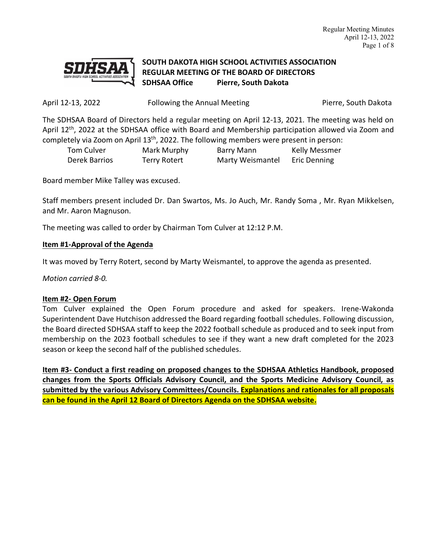

# **SOUTH DAKOTA HIGH SCHOOL ACTIVITIES ASSOCIATION REGULAR MEETING OF THE BOARD OF DIRECTORS SDHSAA Office Pierre, South Dakota**

April 12-13, 2022 **Following the Annual Meeting** Pierre, South Dakota

The SDHSAA Board of Directors held a regular meeting on April 12-13, 2021. The meeting was held on April 12<sup>th</sup>, 2022 at the SDHSAA office with Board and Membership participation allowed via Zoom and completely via Zoom on April 13th, 2022. The following members were present in person:

| Tom Culver    | Mark Murphy  | <b>Barry Mann</b> | <b>Kelly Messmer</b> |
|---------------|--------------|-------------------|----------------------|
| Derek Barrios | Terry Rotert | Marty Weismantel  | <b>Eric Denning</b>  |

Board member Mike Talley was excused.

Staff members present included Dr. Dan Swartos, Ms. Jo Auch, Mr. Randy Soma , Mr. Ryan Mikkelsen, and Mr. Aaron Magnuson.

The meeting was called to order by Chairman Tom Culver at 12:12 P.M.

## **Item #1-Approval of the Agenda**

It was moved by Terry Rotert, second by Marty Weismantel, to approve the agenda as presented.

*Motion carried 8-0.*

### **Item #2- Open Forum**

Tom Culver explained the Open Forum procedure and asked for speakers. Irene-Wakonda Superintendent Dave Hutchison addressed the Board regarding football schedules. Following discussion, the Board directed SDHSAA staff to keep the 2022 football schedule as produced and to seek input from membership on the 2023 football schedules to see if they want a new draft completed for the 2023 season or keep the second half of the published schedules.

**Item #3- Conduct a first reading on proposed changes to the SDHSAA Athletics Handbook, proposed changes from the Sports Officials Advisory Council, and the Sports Medicine Advisory Council, as submitted by the various Advisory Committees/Councils. Explanations and rationales for all proposals can be found in the April 12 Board of Directors Agenda on the SDHSAA website.**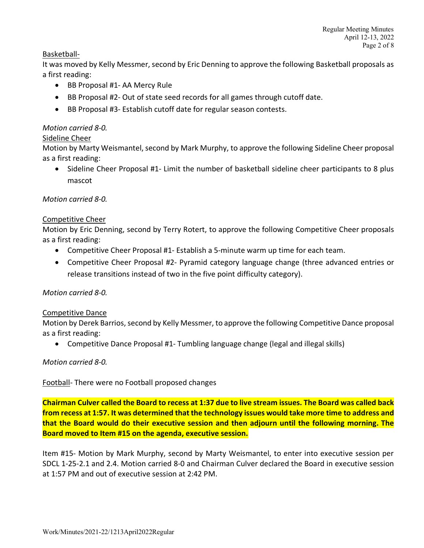### Basketball-

It was moved by Kelly Messmer, second by Eric Denning to approve the following Basketball proposals as a first reading:

- BB Proposal #1- AA Mercy Rule
- BB Proposal #2- Out of state seed records for all games through cutoff date.
- BB Proposal #3- Establish cutoff date for regular season contests.

### *Motion carried 8-0.*

#### Sideline Cheer

Motion by Marty Weismantel, second by Mark Murphy, to approve the following Sideline Cheer proposal as a first reading:

• Sideline Cheer Proposal #1- Limit the number of basketball sideline cheer participants to 8 plus mascot

#### *Motion carried 8-0.*

#### Competitive Cheer

Motion by Eric Denning, second by Terry Rotert, to approve the following Competitive Cheer proposals as a first reading:

- Competitive Cheer Proposal #1- Establish a 5-minute warm up time for each team.
- Competitive Cheer Proposal #2- Pyramid category language change (three advanced entries or release transitions instead of two in the five point difficulty category).

### *Motion carried 8-0.*

#### Competitive Dance

Motion by Derek Barrios, second by Kelly Messmer, to approve the following Competitive Dance proposal as a first reading:

• Competitive Dance Proposal #1- Tumbling language change (legal and illegal skills)

#### *Motion carried 8-0.*

Football- There were no Football proposed changes

**Chairman Culver called the Board to recess at 1:37 due to live stream issues. The Board was called back from recess at 1:57. It was determined that the technology issues would take more time to address and that the Board would do their executive session and then adjourn until the following morning. The Board moved to Item #15 on the agenda, executive session.**

Item #15- Motion by Mark Murphy, second by Marty Weismantel, to enter into executive session per SDCL 1-25-2.1 and 2.4. Motion carried 8-0 and Chairman Culver declared the Board in executive session at 1:57 PM and out of executive session at 2:42 PM.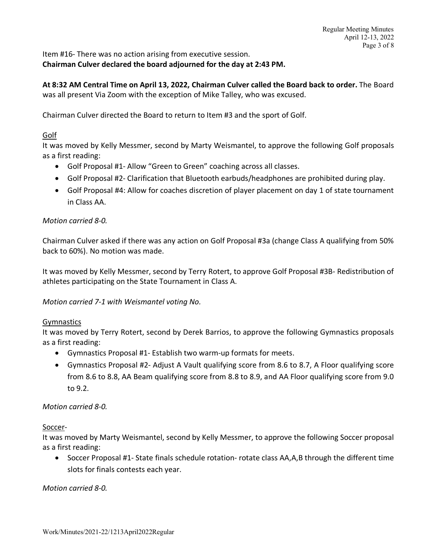Item #16- There was no action arising from executive session. **Chairman Culver declared the board adjourned for the day at 2:43 PM.** 

**At 8:32 AM Central Time on April 13, 2022, Chairman Culver called the Board back to order.** The Board was all present Via Zoom with the exception of Mike Talley, who was excused.

Chairman Culver directed the Board to return to Item #3 and the sport of Golf.

## Golf

It was moved by Kelly Messmer, second by Marty Weismantel, to approve the following Golf proposals as a first reading:

- Golf Proposal #1- Allow "Green to Green" coaching across all classes.
- Golf Proposal #2- Clarification that Bluetooth earbuds/headphones are prohibited during play.
- Golf Proposal #4: Allow for coaches discretion of player placement on day 1 of state tournament in Class AA.

## *Motion carried 8-0.*

Chairman Culver asked if there was any action on Golf Proposal #3a (change Class A qualifying from 50% back to 60%). No motion was made.

It was moved by Kelly Messmer, second by Terry Rotert, to approve Golf Proposal #3B- Redistribution of athletes participating on the State Tournament in Class A.

*Motion carried 7-1 with Weismantel voting No.* 

### Gymnastics

It was moved by Terry Rotert, second by Derek Barrios, to approve the following Gymnastics proposals as a first reading:

- Gymnastics Proposal #1- Establish two warm-up formats for meets.
- Gymnastics Proposal #2- Adjust A Vault qualifying score from 8.6 to 8.7, A Floor qualifying score from 8.6 to 8.8, AA Beam qualifying score from 8.8 to 8.9, and AA Floor qualifying score from 9.0 to 9.2.

### *Motion carried 8-0.*

Soccer-

It was moved by Marty Weismantel, second by Kelly Messmer, to approve the following Soccer proposal as a first reading:

• Soccer Proposal #1- State finals schedule rotation- rotate class AA,A,B through the different time slots for finals contests each year.

*Motion carried 8-0.*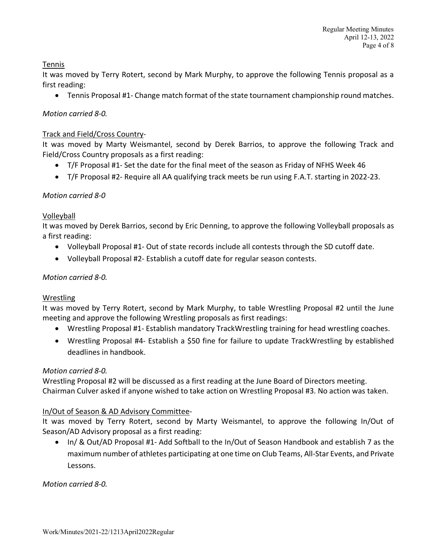## Tennis

It was moved by Terry Rotert, second by Mark Murphy, to approve the following Tennis proposal as a first reading:

• Tennis Proposal #1- Change match format of the state tournament championship round matches.

## *Motion carried 8-0.*

### Track and Field/Cross Country-

It was moved by Marty Weismantel, second by Derek Barrios, to approve the following Track and Field/Cross Country proposals as a first reading:

- T/F Proposal #1- Set the date for the final meet of the season as Friday of NFHS Week 46
- T/F Proposal #2- Require all AA qualifying track meets be run using F.A.T. starting in 2022-23.

## *Motion carried 8-0*

## Volleyball

It was moved by Derek Barrios, second by Eric Denning, to approve the following Volleyball proposals as a first reading:

- Volleyball Proposal #1- Out of state records include all contests through the SD cutoff date.
- Volleyball Proposal #2- Establish a cutoff date for regular season contests.

## *Motion carried 8-0.*

### Wrestling

It was moved by Terry Rotert, second by Mark Murphy, to table Wrestling Proposal #2 until the June meeting and approve the following Wrestling proposals as first readings:

- Wrestling Proposal #1- Establish mandatory TrackWrestling training for head wrestling coaches.
- Wrestling Proposal #4- Establish a \$50 fine for failure to update TrackWrestling by established deadlines in handbook.

### *Motion carried 8-0.*

Wrestling Proposal #2 will be discussed as a first reading at the June Board of Directors meeting. Chairman Culver asked if anyone wished to take action on Wrestling Proposal #3. No action was taken.

## In/Out of Season & AD Advisory Committee-

It was moved by Terry Rotert, second by Marty Weismantel, to approve the following In/Out of Season/AD Advisory proposal as a first reading:

• In/ & Out/AD Proposal #1- Add Softball to the In/Out of Season Handbook and establish 7 as the maximum number of athletes participating at one time on Club Teams, All-Star Events, and Private Lessons.

*Motion carried 8-0.*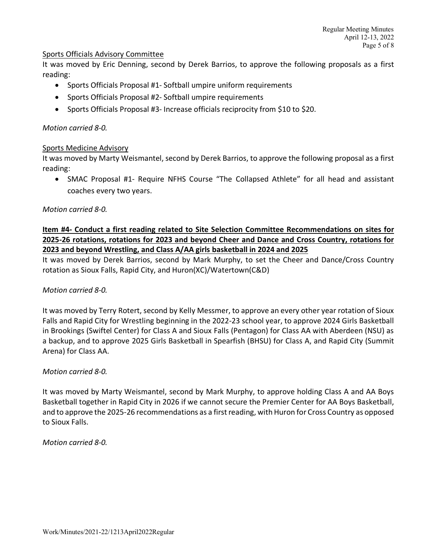#### Sports Officials Advisory Committee

It was moved by Eric Denning, second by Derek Barrios, to approve the following proposals as a first reading:

- Sports Officials Proposal #1- Softball umpire uniform requirements
- Sports Officials Proposal #2- Softball umpire requirements
- Sports Officials Proposal #3- Increase officials reciprocity from \$10 to \$20.

#### *Motion carried 8-0.*

#### Sports Medicine Advisory

It was moved by Marty Weismantel, second by Derek Barrios, to approve the following proposal as a first reading:

• SMAC Proposal #1- Require NFHS Course "The Collapsed Athlete" for all head and assistant coaches every two years.

#### *Motion carried 8-0.*

## **Item #4- Conduct a first reading related to Site Selection Committee Recommendations on sites for 2025-26 rotations, rotations for 2023 and beyond Cheer and Dance and Cross Country, rotations for 2023 and beyond Wrestling, and Class A/AA girls basketball in 2024 and 2025**

It was moved by Derek Barrios, second by Mark Murphy, to set the Cheer and Dance/Cross Country rotation as Sioux Falls, Rapid City, and Huron(XC)/Watertown(C&D)

#### *Motion carried 8-0.*

It was moved by Terry Rotert, second by Kelly Messmer, to approve an every other year rotation of Sioux Falls and Rapid City for Wrestling beginning in the 2022-23 school year, to approve 2024 Girls Basketball in Brookings (Swiftel Center) for Class A and Sioux Falls (Pentagon) for Class AA with Aberdeen (NSU) as a backup, and to approve 2025 Girls Basketball in Spearfish (BHSU) for Class A, and Rapid City (Summit Arena) for Class AA.

### *Motion carried 8-0.*

It was moved by Marty Weismantel, second by Mark Murphy, to approve holding Class A and AA Boys Basketball together in Rapid City in 2026 if we cannot secure the Premier Center for AA Boys Basketball, and to approve the 2025-26 recommendations as a first reading, with Huron for Cross Country as opposed to Sioux Falls.

*Motion carried 8-0.*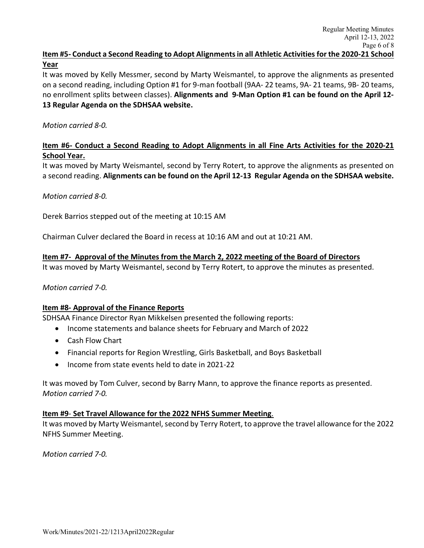It was moved by Kelly Messmer, second by Marty Weismantel, to approve the alignments as presented on a second reading, including Option #1 for 9-man football (9AA- 22 teams, 9A- 21 teams, 9B- 20 teams, no enrollment splits between classes). **Alignments and 9-Man Option #1 can be found on the April 12- 13 Regular Agenda on the SDHSAA website.** 

## *Motion carried 8-0.*

**Year**

## **Item #6- Conduct a Second Reading to Adopt Alignments in all Fine Arts Activities for the 2020-21 School Year.**

It was moved by Marty Weismantel, second by Terry Rotert, to approve the alignments as presented on a second reading. **Alignments can be found on the April 12-13 Regular Agenda on the SDHSAA website.** 

*Motion carried 8-0.* 

Derek Barrios stepped out of the meeting at 10:15 AM

Chairman Culver declared the Board in recess at 10:16 AM and out at 10:21 AM.

## **Item #7- Approval of the Minutes from the March 2, 2022 meeting of the Board of Directors**

It was moved by Marty Weismantel, second by Terry Rotert, to approve the minutes as presented.

### *Motion carried 7-0.*

### **Item #8- Approval of the Finance Reports**

SDHSAA Finance Director Ryan Mikkelsen presented the following reports:

- Income statements and balance sheets for February and March of 2022
- Cash Flow Chart
- Financial reports for Region Wrestling, Girls Basketball, and Boys Basketball
- Income from state events held to date in 2021-22

It was moved by Tom Culver, second by Barry Mann, to approve the finance reports as presented. *Motion carried 7-0.* 

### **Item #9**- **Set Travel Allowance for the 2022 NFHS Summer Meeting**.

It was moved by Marty Weismantel, second by Terry Rotert, to approve the travel allowance for the 2022 NFHS Summer Meeting.

*Motion carried 7-0.*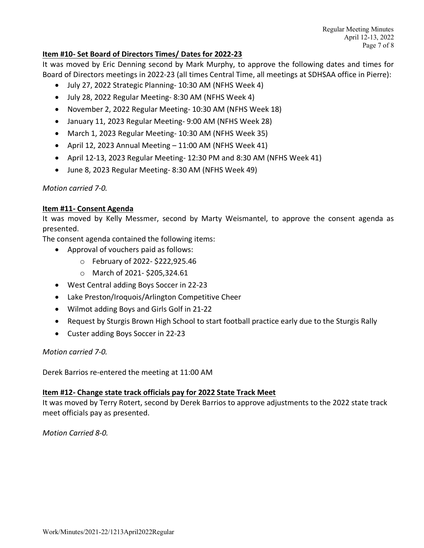## **Item #10- Set Board of Directors Times/ Dates for 2022-23**

It was moved by Eric Denning second by Mark Murphy, to approve the following dates and times for Board of Directors meetings in 2022-23 (all times Central Time, all meetings at SDHSAA office in Pierre):

- July 27, 2022 Strategic Planning- 10:30 AM (NFHS Week 4)
- July 28, 2022 Regular Meeting- 8:30 AM (NFHS Week 4)
- November 2, 2022 Regular Meeting- 10:30 AM (NFHS Week 18)
- January 11, 2023 Regular Meeting- 9:00 AM (NFHS Week 28)
- March 1, 2023 Regular Meeting- 10:30 AM (NFHS Week 35)
- April 12, 2023 Annual Meeting 11:00 AM (NFHS Week 41)
- April 12-13, 2023 Regular Meeting- 12:30 PM and 8:30 AM (NFHS Week 41)
- June 8, 2023 Regular Meeting- 8:30 AM (NFHS Week 49)

*Motion carried 7-0.* 

## **Item #11- Consent Agenda**

It was moved by Kelly Messmer, second by Marty Weismantel, to approve the consent agenda as presented.

The consent agenda contained the following items:

- Approval of vouchers paid as follows:
	- o February of 2022- \$222,925.46
	- o March of 2021- \$205,324.61
- West Central adding Boys Soccer in 22-23
- Lake Preston/Iroquois/Arlington Competitive Cheer
- Wilmot adding Boys and Girls Golf in 21-22
- Request by Sturgis Brown High School to start football practice early due to the Sturgis Rally
- Custer adding Boys Soccer in 22-23

### *Motion carried 7-0.*

Derek Barrios re-entered the meeting at 11:00 AM

### **Item #12- Change state track officials pay for 2022 State Track Meet**

It was moved by Terry Rotert, second by Derek Barrios to approve adjustments to the 2022 state track meet officials pay as presented.

*Motion Carried 8-0.*